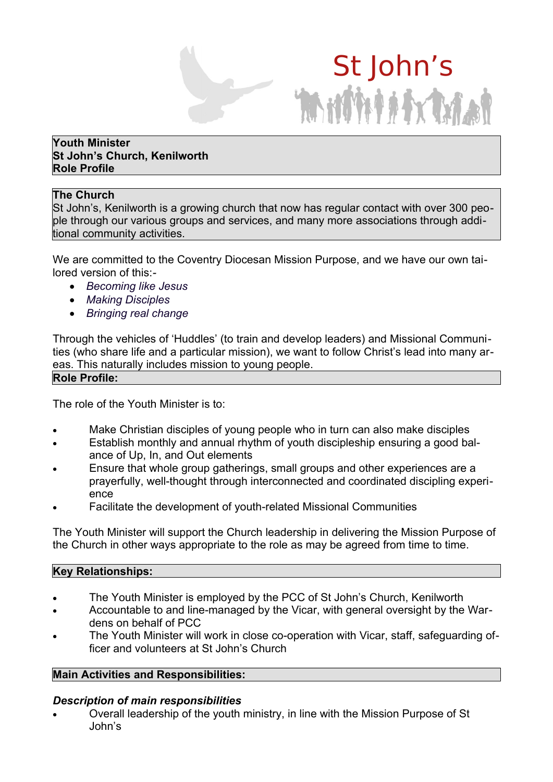# St John's Million Andrew

#### **Youth Minister St John's Church, Kenilworth Role Profile**

## **The Church**

St John's, Kenilworth is a growing church that now has regular contact with over 300 people through our various groups and services, and many more associations through additional community activities.

We are committed to the Coventry Diocesan Mission Purpose, and we have our own tailored version of this:*-*

- · *Becoming like Jesus*
- · *Making Disciples*
- · *Bringing real change*

Through the vehicles of 'Huddles' (to train and develop leaders) and Missional Communities (who share life and a particular mission), we want to follow Christ's lead into many areas. This naturally includes mission to young people.

#### **Role Profile:**

The role of the Youth Minister is to:

- Make Christian disciples of young people who in turn can also make disciples
- · Establish monthly and annual rhythm of youth discipleship ensuring a good balance of Up, In, and Out elements
- · Ensure that whole group gatherings, small groups and other experiences are a prayerfully, well-thought through interconnected and coordinated discipling experience
- Facilitate the development of youth-related Missional Communities

The Youth Minister will support the Church leadership in delivering the Mission Purpose of the Church in other ways appropriate to the role as may be agreed from time to time.

#### **Key Relationships:**

- The Youth Minister is employed by the PCC of St John's Church, Kenilworth
- · Accountable to and line-managed by the Vicar, with general oversight by the Wardens on behalf of PCC
- The Youth Minister will work in close co-operation with Vicar, staff, safeguarding officer and volunteers at St John's Church

#### **Main Activities and Responsibilities:**

#### *Description of main responsibilities*

Overall leadership of the youth ministry, in line with the Mission Purpose of St John's